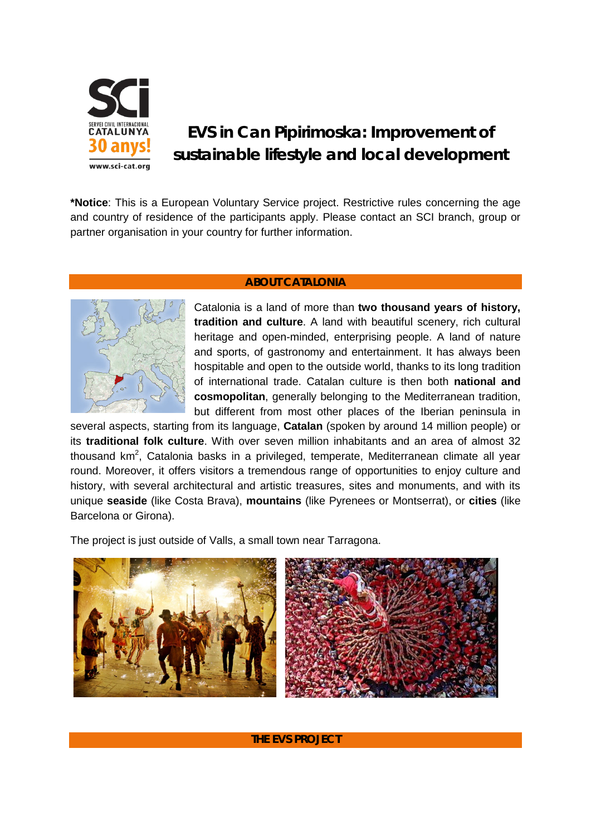

## **EVS in Can Pipirimoska: Improvement of sustainable lifestyle and local development**

**\*Notice**: This is a European Voluntary Service project. Restrictive rules concerning the age and country of residence of the participants apply. Please contact an SCI branch, group or partner organisation in your country for further information.

## **ABOUT CATALONIA**



Catalonia is a land of more than **two thousand years of history, tradition and culture**. A land with beautiful scenery, rich cultural heritage and open-minded, enterprising people. A land of nature and sports, of gastronomy and entertainment. It has always been hospitable and open to the outside world, thanks to its long tradition of international trade. Catalan culture is then both **national and cosmopolitan**, generally belonging to the Mediterranean tradition, but different from most other places of the Iberian peninsula in

several aspects, starting from its language, **Catalan** (spoken by around 14 million people) or its **traditional folk culture**. With over seven million inhabitants and an area of almost 32 thousand km<sup>2</sup>, Catalonia basks in a privileged, temperate, Mediterranean climate all year round. Moreover, it offers visitors a tremendous range of opportunities to enjoy culture and history, with several architectural and artistic treasures, sites and monuments, and with its unique **seaside** (like Costa Brava), **mountains** (like Pyrenees or Montserrat), or **cities** (like Barcelona or Girona).

The project is just outside of Valls, a small town near Tarragona.



## **THE EVS PROJECT**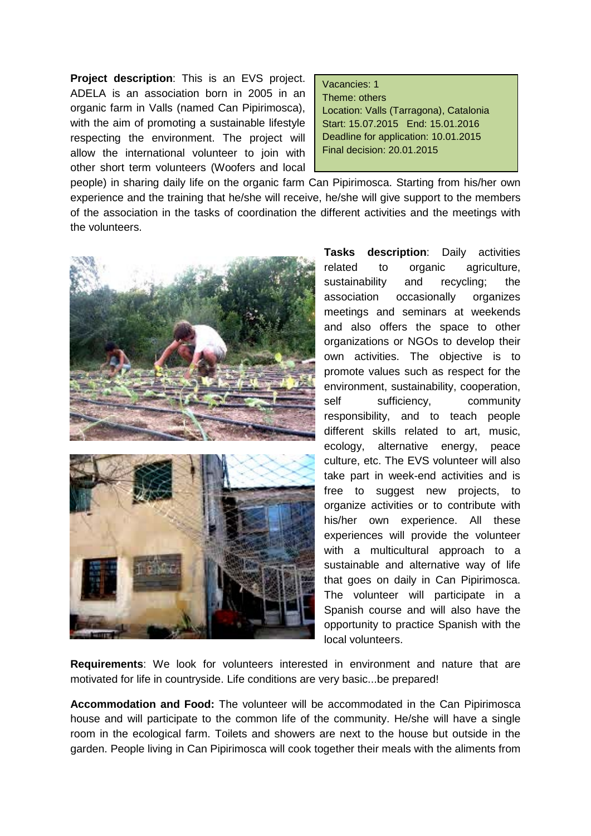**Project description**: This is an EVS project. ADELA is an association born in 2005 in an organic farm in Valls (named Can Pipirimosca), with the aim of promoting a sustainable lifestyle respecting the environment. The project will allow the international volunteer to join with other short term volunteers (Woofers and local

## Vacancies: 1

Theme: others Location: Valls (Tarragona), Catalonia Start: 15.07.2015 End: 15.01.2016 Deadline for application: 10.01.2015 Final decision: 20.01.2015

people) in sharing daily life on the organic farm Can Pipirimosca. Starting from his/her own experience and the training that he/she will receive, he/she will give support to the members of the association in the tasks of coordination the different activities and the meetings with the volunteers.





**Tasks description**: Daily activities related to organic agriculture, sustainability and recycling; the association occasionally organizes meetings and seminars at weekends and also offers the space to other organizations or NGOs to develop their own activities. The objective is to promote values such as respect for the environment, sustainability, cooperation, self sufficiency, community responsibility, and to teach people different skills related to art, music, ecology, alternative energy, peace culture, etc. The EVS volunteer will also take part in week-end activities and is free to suggest new projects, to organize activities or to contribute with his/her own experience. All these experiences will provide the volunteer with a multicultural approach to a sustainable and alternative way of life that goes on daily in Can Pipirimosca. The volunteer will participate in a Spanish course and will also have the opportunity to practice Spanish with the local volunteers.

**Requirements**: We look for volunteers interested in environment and nature that are motivated for life in countryside. Life conditions are very basic...be prepared!

**Accommodation and Food:** The volunteer will be accommodated in the Can Pipirimosca house and will participate to the common life of the community. He/she will have a single room in the ecological farm. Toilets and showers are next to the house but outside in the garden. People living in Can Pipirimosca will cook together their meals with the aliments from